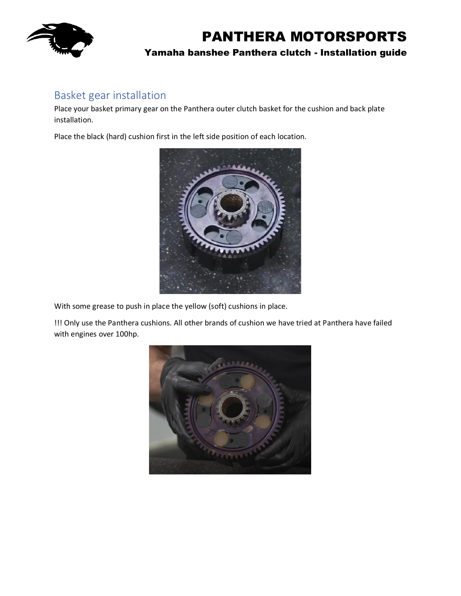

### Basket gear installation

Place your basket primary gear on the Panthera outer clutch basket for the cushion and back plate installation.

Place the black (hard) cushion first in the left side position of each location.



With some grease to push in place the yellow (soft) cushions in place.

!!! Only use the Panthera cushions. All other brands of cushion we have tried at Panthera have failed with engines over 100hp.

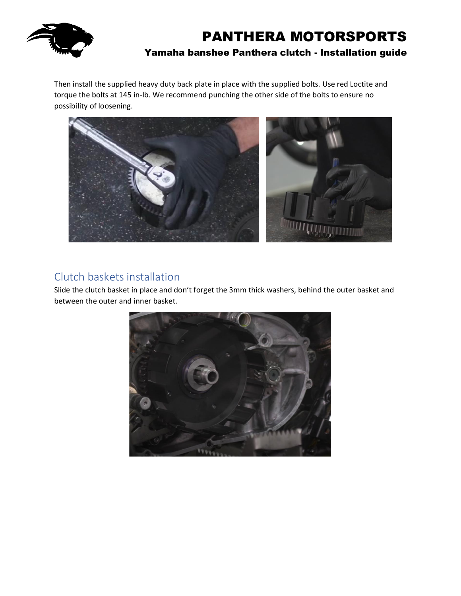

Then install the supplied heavy duty back plate in place with the supplied bolts. Use red Loctite and torque the bolts at 145 in-lb. We recommend punching the other side of the bolts to ensure no possibility of loosening.



### Clutch baskets installation

Slide the clutch basket in place and don't forget the 3mm thick washers, behind the outer basket and between the outer and inner basket.

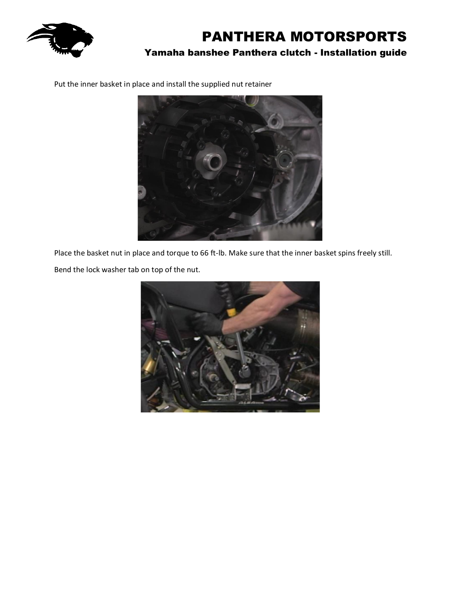

Put the inner basket in place and install the supplied nut retainer



Place the basket nut in place and torque to 66 ft-lb. Make sure that the inner basket spins freely still.

Bend the lock washer tab on top of the nut.

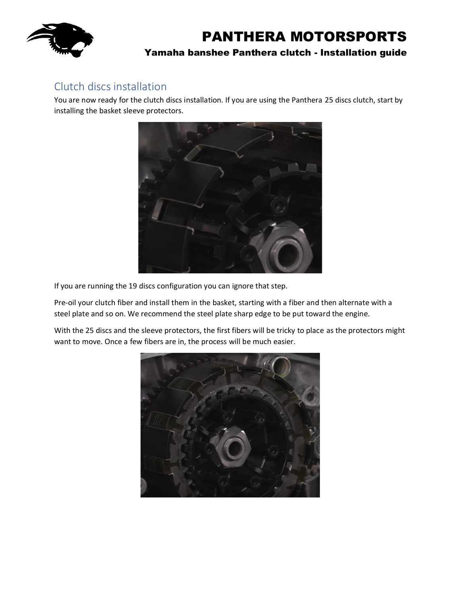

### Clutch discs installation

You are now ready for the clutch discs installation. If you are using the Panthera 25 discs clutch, start by installing the basket sleeve protectors.



If you are running the 19 discs configuration you can ignore that step.

Pre-oil your clutch fiber and install them in the basket, starting with a fiber and then alternate with a steel plate and so on. We recommend the steel plate sharp edge to be put toward the engine.

With the 25 discs and the sleeve protectors, the first fibers will be tricky to place as the protectors might want to move. Once a few fibers are in, the process will be much easier.

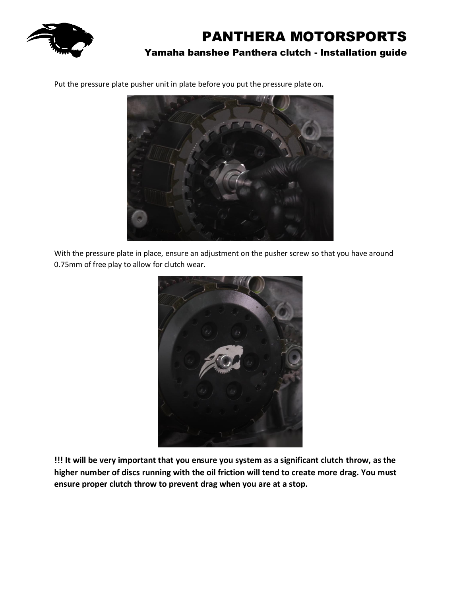

Put the pressure plate pusher unit in plate before you put the pressure plate on.



With the pressure plate in place, ensure an adjustment on the pusher screw so that you have around 0.75mm of free play to allow for clutch wear.



**!!! It will be very important that you ensure you system as a significant clutch throw, as the higher number of discs running with the oil friction will tend to create more drag. You must ensure proper clutch throw to prevent drag when you are at a stop.**